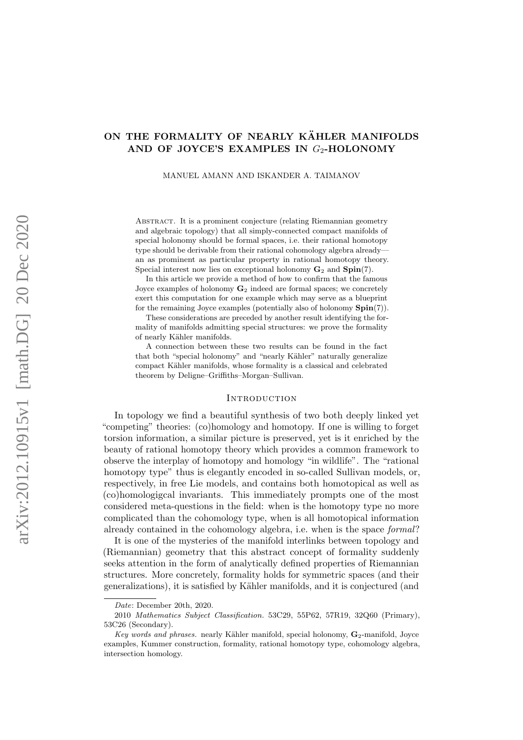# ON THE FORMALITY OF NEARLY KÄHLER MANIFOLDS AND OF JOYCE'S EXAMPLES IN  $G_2$ -HOLONOMY

MANUEL AMANN AND ISKANDER A. TAIMANOV

ABSTRACT. It is a prominent conjecture (relating Riemannian geometry and algebraic topology) that all simply-connected compact manifolds of special holonomy should be formal spaces, i.e. their rational homotopy type should be derivable from their rational cohomology algebra already an as prominent as particular property in rational homotopy theory. Special interest now lies on exceptional holonomy  $G_2$  and  $Spin(7)$ .

In this article we provide a method of how to confirm that the famous Joyce examples of holonomy  $\mathbf{G}_2$  indeed are formal spaces; we concretely exert this computation for one example which may serve as a blueprint for the remaining Joyce examples (potentially also of holonomy  $\text{Spin}(7)$ ).

These considerations are preceded by another result identifying the formality of manifolds admitting special structures: we prove the formality of nearly Kähler manifolds.

A connection between these two results can be found in the fact that both "special holonomy" and "nearly Kähler" naturally generalize compact Kähler manifolds, whose formality is a classical and celebrated theorem by Deligne–Griffiths–Morgan–Sullivan.

## **INTRODUCTION**

In topology we find a beautiful synthesis of two both deeply linked yet "competing" theories: (co)homology and homotopy. If one is willing to forget torsion information, a similar picture is preserved, yet is it enriched by the beauty of rational homotopy theory which provides a common framework to observe the interplay of homotopy and homology "in wildlife". The "rational homotopy type" thus is elegantly encoded in so-called Sullivan models, or, respectively, in free Lie models, and contains both homotopical as well as (co)homologigcal invariants. This immediately prompts one of the most considered meta-questions in the field: when is the homotopy type no more complicated than the cohomology type, when is all homotopical information already contained in the cohomology algebra, i.e. when is the space formal?

It is one of the mysteries of the manifold interlinks between topology and (Riemannian) geometry that this abstract concept of formality suddenly seeks attention in the form of analytically defined properties of Riemannian structures. More concretely, formality holds for symmetric spaces (and their generalizations), it is satisfied by Kähler manifolds, and it is conjectured (and

Date: December 20th, 2020.

<sup>2010</sup> Mathematics Subject Classification. 53C29, 55P62, 57R19, 32Q60 (Primary), 53C26 (Secondary).

Key words and phrases. nearly Kähler manifold, special holonomy,  $G_2$ -manifold, Joyce examples, Kummer construction, formality, rational homotopy type, cohomology algebra, intersection homology.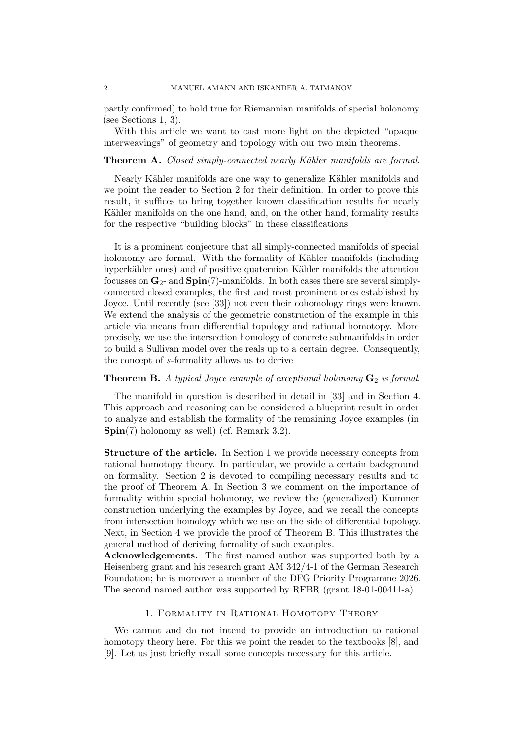partly confirmed) to hold true for Riemannian manifolds of special holonomy (see Sections [1,](#page-1-0) [3\)](#page-5-0).

With this article we want to cast more light on the depicted "opaque interweavings" of geometry and topology with our two main theorems.

## <span id="page-1-1"></span>Theorem A. Closed simply-connected nearly Kähler manifolds are formal.

Nearly Kähler manifolds are one way to generalize Kähler manifolds and we point the reader to Section [2](#page-3-0) for their definition. In order to prove this result, it suffices to bring together known classification results for nearly Kähler manifolds on the one hand, and, on the other hand, formality results for the respective "building blocks" in these classifications.

It is a prominent conjecture that all simply-connected manifolds of special holonomy are formal. With the formality of Kähler manifolds (including hyperkähler ones) and of positive quaternion Kähler manifolds the attention focusses on  $\mathbf{G}_2$ - and  $\text{Spin}(7)$ -manifolds. In both cases there are several simplyconnected closed examples, the first and most prominent ones established by Joyce. Until recently (see [\[33\]](#page-15-0)) not even their cohomology rings were known. We extend the analysis of the geometric construction of the example in this article via means from differential topology and rational homotopy. More precisely, we use the intersection homology of concrete submanifolds in order to build a Sullivan model over the reals up to a certain degree. Consequently, the concept of s-formality allows us to derive

## <span id="page-1-2"></span>**Theorem B.** A typical Joyce example of exceptional holonomy  $G_2$  is formal.

The manifold in question is described in detail in [\[33\]](#page-15-0) and in Section [4.](#page-8-0) This approach and reasoning can be considered a blueprint result in order to analyze and establish the formality of the remaining Joyce examples (in  $\text{Spin}(7)$  holonomy as well) (cf. Remark [3.2\)](#page-8-1).

Structure of the article. In Section [1](#page-1-0) we provide necessary concepts from rational homotopy theory. In particular, we provide a certain background on formality. Section [2](#page-3-0) is devoted to compiling necessary results and to the proof of Theorem [A.](#page-1-1) In Section [3](#page-5-0) we comment on the importance of formality within special holonomy, we review the (generalized) Kummer construction underlying the examples by Joyce, and we recall the concepts from intersection homology which we use on the side of differential topology. Next, in Section [4](#page-8-0) we provide the proof of Theorem [B.](#page-1-2) This illustrates the general method of deriving formality of such examples.

Acknowledgements. The first named author was supported both by a Heisenberg grant and his research grant AM 342/4-1 of the German Research Foundation; he is moreover a member of the DFG Priority Programme 2026. The second named author was supported by RFBR (grant 18-01-00411-a).

### 1. Formality in Rational Homotopy Theory

<span id="page-1-0"></span>We cannot and do not intend to provide an introduction to rational homotopy theory here. For this we point the reader to the textbooks [\[8\]](#page-15-1), and [\[9\]](#page-15-2). Let us just briefly recall some concepts necessary for this article.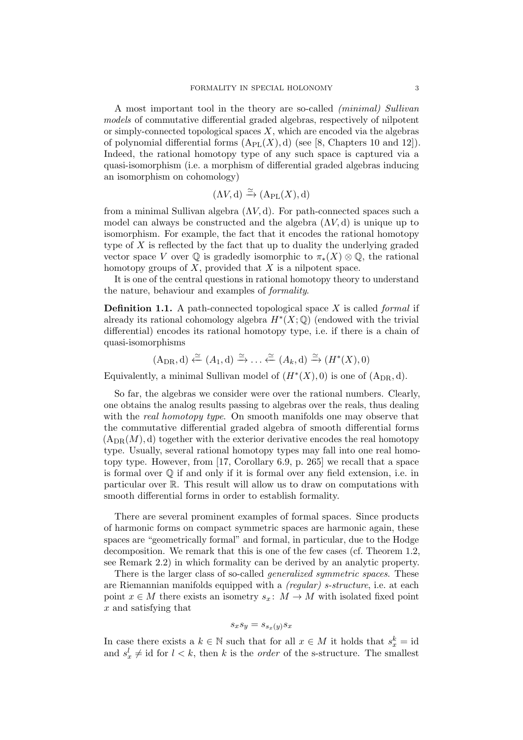A most important tool in the theory are so-called (minimal) Sullivan models of commutative differential graded algebras, respectively of nilpotent or simply-connected topological spaces  $X$ , which are encoded via the algebras of polynomial differential forms  $(A_{PL}(X), d)$  (see [\[8,](#page-15-1) Chapters 10 and 12]). Indeed, the rational homotopy type of any such space is captured via a quasi-isomorphism (i.e. a morphism of differential graded algebras inducing an isomorphism on cohomology)

$$
(\Lambda V, d) \xrightarrow{\simeq} (\mathrm{A}_{\mathrm{PL}}(X), d)
$$

from a minimal Sullivan algebra  $(\Lambda V, d)$ . For path-connected spaces such a model can always be constructed and the algebra  $(\Lambda V, d)$  is unique up to isomorphism. For example, the fact that it encodes the rational homotopy type of  $X$  is reflected by the fact that up to duality the underlying graded vector space V over  $\mathbb Q$  is gradedly isomorphic to  $\pi_*(X) \otimes \mathbb Q$ , the rational homotopy groups of  $X$ , provided that  $X$  is a nilpotent space.

It is one of the central questions in rational homotopy theory to understand the nature, behaviour and examples of formality.

**Definition 1.1.** A path-connected topological space  $X$  is called *formal* if already its rational cohomology algebra  $H^*(X; \mathbb{Q})$  (endowed with the trivial differential) encodes its rational homotopy type, i.e. if there is a chain of quasi-isomorphisms

$$
(A_{DR}, d) \xleftarrow{\simeq} (A_1, d) \xrightarrow{\simeq} \ldots \xleftarrow{\simeq} (A_k, d) \xrightarrow{\simeq} (H^*(X), 0)
$$

Equivalently, a minimal Sullivan model of  $(H^*(X), 0)$  is one of  $(A_{DR}, d)$ .

So far, the algebras we consider were over the rational numbers. Clearly, one obtains the analog results passing to algebras over the reals, thus dealing with the *real homotopy type*. On smooth manifolds one may observe that the commutative differential graded algebra of smooth differential forms  $(A_{DR}(M), d)$  together with the exterior derivative encodes the real homotopy type. Usually, several rational homotopy types may fall into one real homotopy type. However, from [\[17,](#page-15-3) Corollary 6.9, p. 265] we recall that a space is formal over  $\mathbb Q$  if and only if it is formal over any field extension, i.e. in particular over R. This result will allow us to draw on computations with smooth differential forms in order to establish formality.

There are several prominent examples of formal spaces. Since products of harmonic forms on compact symmetric spaces are harmonic again, these spaces are "geometrically formal" and formal, in particular, due to the Hodge decomposition. We remark that this is one of the few cases (cf. Theorem [1.2,](#page-3-1) see Remark [2.2\)](#page-5-1) in which formality can be derived by an analytic property.

There is the larger class of so-called *generalized symmetric spaces*. These are Riemannian manifolds equipped with a (regular) s-structure, i.e. at each point  $x \in M$  there exists an isometry  $s_x \colon M \to M$  with isolated fixed point x and satisfying that

$$
s_x s_y = s_{s_x(y)} s_x
$$

In case there exists a  $k \in \mathbb{N}$  such that for all  $x \in M$  it holds that  $s_x^k = id$ and  $s_x^l \neq \text{id}$  for  $l < k$ , then k is the *order* of the s-structure. The smallest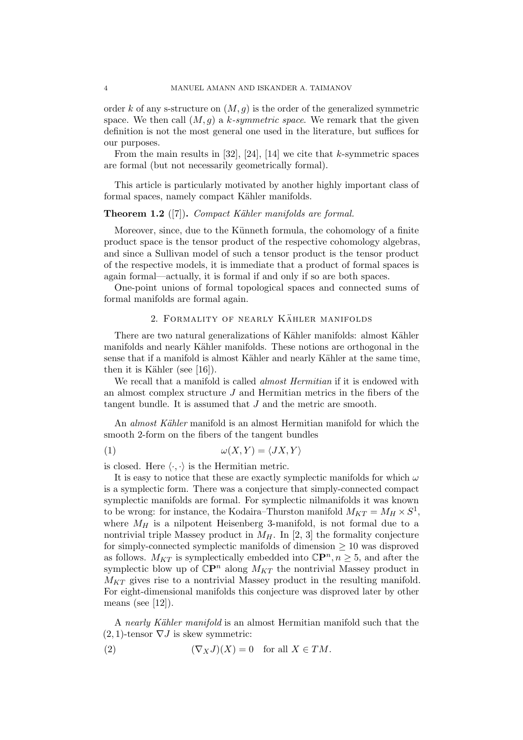order k of any s-structure on  $(M, g)$  is the order of the generalized symmetric space. We then call  $(M, g)$  a k-symmetric space. We remark that the given definition is not the most general one used in the literature, but suffices for our purposes.

From the main results in  $[32]$ ,  $[24]$ ,  $[14]$  we cite that k-symmetric spaces are formal (but not necessarily geometrically formal).

This article is particularly motivated by another highly important class of formal spaces, namely compact Kähler manifolds.

## <span id="page-3-1"></span>**Theorem 1.2** ([\[7\]](#page-15-7)). Compact Kähler manifolds are formal.

Moreover, since, due to the Künneth formula, the cohomology of a finite product space is the tensor product of the respective cohomology algebras, and since a Sullivan model of such a tensor product is the tensor product of the respective models, it is immediate that a product of formal spaces is again formal—actually, it is formal if and only if so are both spaces.

One-point unions of formal topological spaces and connected sums of formal manifolds are formal again.

## 2. FORMALITY OF NEARLY KÄHLER MANIFOLDS

<span id="page-3-0"></span>There are two natural generalizations of Kähler manifolds: almost Kähler manifolds and nearly Kähler manifolds. These notions are orthogonal in the sense that if a manifold is almost Kähler and nearly Kähler at the same time, then it is Kähler (see  $[16]$ ).

We recall that a manifold is called *almost Hermitian* if it is endowed with an almost complex structure  $J$  and Hermitian metrics in the fibers of the tangent bundle. It is assumed that J and the metric are smooth.

An *almost Kähler* manifold is an almost Hermitian manifold for which the smooth 2-form on the fibers of the tangent bundles

<span id="page-3-2"></span>
$$
(1) \qquad \qquad \omega(X,Y) = \langle JX,Y \rangle
$$

is closed. Here  $\langle \cdot, \cdot \rangle$  is the Hermitian metric.

It is easy to notice that these are exactly symplectic manifolds for which  $\omega$ is a symplectic form. There was a conjecture that simply-connected compact symplectic manifolds are formal. For symplectic nilmanifolds it was known to be wrong: for instance, the Kodaira–Thurston manifold  $M_{KT} = M_H \times S^1$ , where  $M_H$  is a nilpotent Heisenberg 3-manifold, is not formal due to a nontrivial triple Massey product in  $M_H$ . In [\[2,](#page-14-0) [3\]](#page-14-1) the formality conjecture for simply-connected symplectic manifolds of dimension  $\geq 10$  was disproved as follows.  $M_{KT}$  is symplectically embedded into  $\mathbb{C}\mathbb{P}^n, n \geq 5$ , and after the symplectic blow up of  $\mathbb{C}P^n$  along  $M_{KT}$  the nontrivial Massey product in  $M_{KT}$  gives rise to a nontrivial Massey product in the resulting manifold. For eight-dimensional manifolds this conjecture was disproved later by other means (see [\[12\]](#page-15-9)).

A nearly Kähler manifold is an almost Hermitian manifold such that the  $(2, 1)$ -tensor  $\nabla J$  is skew symmetric:

<span id="page-3-3"></span>(2) 
$$
(\nabla_X J)(X) = 0 \text{ for all } X \in TM.
$$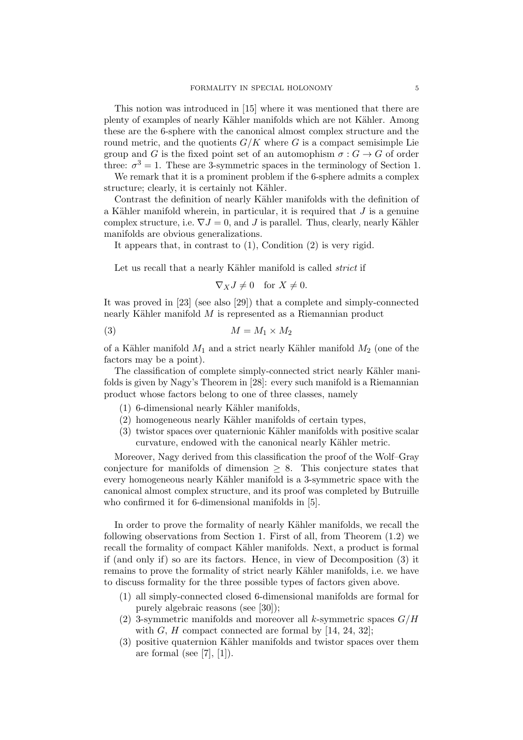This notion was introduced in [\[15\]](#page-15-10) where it was mentioned that there are plenty of examples of nearly Kähler manifolds which are not Kähler. Among these are the 6-sphere with the canonical almost complex structure and the round metric, and the quotients  $G/K$  where G is a compact semisimple Lie group and G is the fixed point set of an automophism  $\sigma: G \to G$  of order three:  $\sigma^3 = 1$ . These are 3-symmetric spaces in the terminology of Section [1.](#page-1-0)

We remark that it is a prominent problem if the 6-sphere admits a complex structure; clearly, it is certainly not Kähler.

Contrast the definition of nearly Kähler manifolds with the definition of a Kähler manifold wherein, in particular, it is required that  $J$  is a genuine complex structure, i.e.  $\nabla J = 0$ , and J is parallel. Thus, clearly, nearly Kähler manifolds are obvious generalizations.

It appears that, in contrast to [\(1\)](#page-3-2), Condition [\(2\)](#page-3-3) is very rigid.

Let us recall that a nearly Kähler manifold is called *strict* if

$$
\nabla_X J \neq 0 \quad \text{for } X \neq 0.
$$

It was proved in [\[23\]](#page-15-11) (see also [\[29\]](#page-15-12)) that a complete and simply-connected nearly Kähler manifold  $M$  is represented as a Riemannian product

<span id="page-4-0"></span>
$$
(3) \t\t\t M = M_1 \times M_2
$$

of a Kähler manifold  $M_1$  and a strict nearly Kähler manifold  $M_2$  (one of the factors may be a point).

The classification of complete simply-connected strict nearly Kähler manifolds is given by Nagy's Theorem in [\[28\]](#page-15-13): every such manifold is a Riemannian product whose factors belong to one of three classes, namely

- $(1)$  6-dimensional nearly Kähler manifolds,
- (2) homogeneous nearly Kähler manifolds of certain types,
- (3) twistor spaces over quaternionic Kähler manifolds with positive scalar curvature, endowed with the canonical nearly Kähler metric.

Moreover, Nagy derived from this classification the proof of the Wolf–Gray conjecture for manifolds of dimension  $\geq 8$ . This conjecture states that every homogeneous nearly Kähler manifold is a 3-symmetric space with the canonical almost complex structure, and its proof was completed by Butruille who confirmed it for 6-dimensional manifolds in [\[5\]](#page-14-2).

In order to prove the formality of nearly Kähler manifolds, we recall the following observations from Section [1.](#page-1-0) First of all, from Theorem [\(1.2\)](#page-3-1) we recall the formality of compact Kähler manifolds. Next, a product is formal if (and only if) so are its factors. Hence, in view of Decomposition [\(3\)](#page-4-0) it remains to prove the formality of strict nearly Kähler manifolds, i.e. we have to discuss formality for the three possible types of factors given above.

- (1) all simply-connected closed 6-dimensional manifolds are formal for purely algebraic reasons (see [\[30\]](#page-15-14));
- (2) 3-symmetric manifolds and moreover all k-symmetric spaces  $G/H$ with  $G, H$  compact connected are formal by [\[14,](#page-15-6) [24,](#page-15-5) [32\]](#page-15-4);
- (3) positive quaternion Kähler manifolds and twistor spaces over them are formal (see [\[7\]](#page-15-7),  $[1]$ ).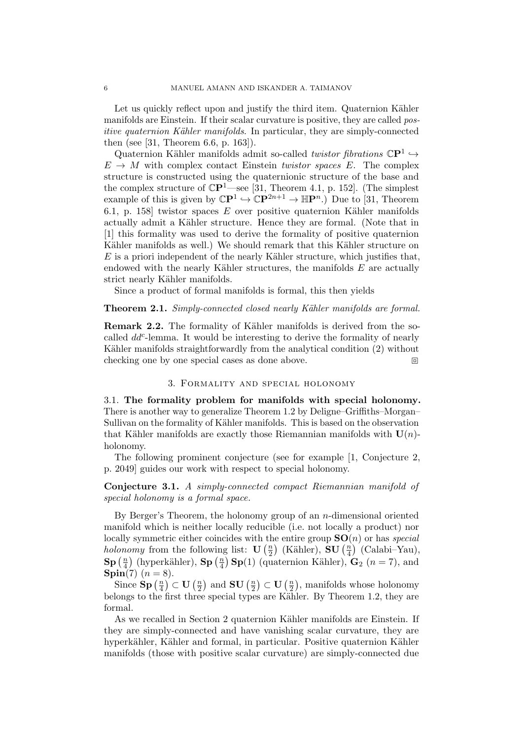Let us quickly reflect upon and justify the third item. Quaternion Kähler manifolds are Einstein. If their scalar curvature is positive, they are called positive quaternion Kähler manifolds. In particular, they are simply-connected then (see [\[31,](#page-15-15) Theorem 6.6, p. 163]).

Quaternion Kähler manifolds admit so-called *twistor fibrations*  $\mathbb{C}P^1 \hookrightarrow$  $E \to M$  with complex contact Einstein twistor spaces E. The complex structure is constructed using the quaternionic structure of the base and the complex structure of  $\mathbb{C}P^1$ —see [\[31,](#page-15-15) Theorem 4.1, p. 152]. (The simplest example of this is given by  $\mathbb{C}P^1 \hookrightarrow \mathbb{C}P^{2n+1} \to \mathbb{H}P^n$ . Due to [\[31,](#page-15-15) Theorem 6.1, p. 158] twistor spaces  $E$  over positive quaternion Kähler manifolds actually admit a Kähler structure. Hence they are formal. (Note that in [\[1\]](#page-14-3) this formality was used to derive the formality of positive quaternion Kähler manifolds as well.) We should remark that this Kähler structure on  $E$  is a priori independent of the nearly Kähler structure, which justifies that, endowed with the nearly Kähler structures, the manifolds  $E$  are actually strict nearly Kähler manifolds.

Since a product of formal manifolds is formal, this then yields

## Theorem 2.1. Simply-connected closed nearly Kähler manifolds are formal.

<span id="page-5-1"></span>Remark 2.2. The formality of Kähler manifolds is derived from the socalled  $dd^c$ -lemma. It would be interesting to derive the formality of nearly Kähler manifolds straightforwardly from the analytical condition [\(2\)](#page-3-3) without checking one by one special cases as done above.

# 3. Formality and special holonomy

<span id="page-5-0"></span>3.1. The formality problem for manifolds with special holonomy. There is another way to generalize Theorem [1.2](#page-3-1) by Deligne–Griffiths–Morgan– Sullivan on the formality of Kähler manifolds. This is based on the observation that Kähler manifolds are exactly those Riemannian manifolds with  $U(n)$ holonomy.

The following prominent conjecture (see for example [\[1,](#page-14-3) Conjecture 2, p. 2049] guides our work with respect to special holonomy.

Conjecture 3.1. A simply-connected compact Riemannian manifold of special holonomy is a formal space.

By Berger's Theorem, the holonomy group of an  $n$ -dimensional oriented manifold which is neither locally reducible (i.e. not locally a product) nor locally symmetric either coincides with the entire group  $SO(n)$  or has special *holonomy* from the following list:  $\mathbf{U}\left(\frac{n}{2}\right)$  $\left(\frac{n}{2}\right)$  (Kähler), SU  $\left(\frac{n}{4}\right)$  $\frac{n}{4}$ ) (Calabi–Yau),  $\mathbf{Sp}\left(\frac{n}{4}\right)$  $\binom{n}{4}$  (hyperkähler), Sp  $\left(\frac{n}{4}\right)$  $\binom{n}{4}$  **Sp**(1) (quaternion Kähler), **G**<sub>2</sub> (*n* = 7), and **Spin**(7)  $(n = 8)$ .

Since  $\mathbf{Sp}(\frac{n}{4})$  $\left(\frac{n}{4}\right) \subset \mathbf{U}\left(\frac{n}{2}\right)$  $\frac{n}{2})$  and  ${\bf SU}\left(\frac{n}{2}\right)$  $\frac{n}{2}\big)\subset\mathbf{U}\left(\frac{n}{2}\right)$  $\frac{n}{2}$ , manifolds whose holonomy belongs to the first three special types are Kähler. By Theorem [1.2,](#page-3-1) they are formal.

As we recalled in Section [2](#page-3-0) quaternion Kähler manifolds are Einstein. If they are simply-connected and have vanishing scalar curvature, they are hyperkähler, Kähler and formal, in particular. Positive quaternion Kähler manifolds (those with positive scalar curvature) are simply-connected due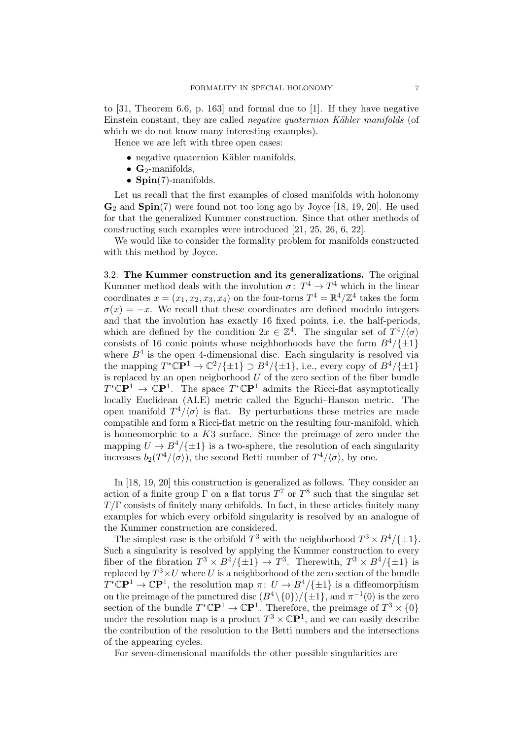to [\[31,](#page-15-15) Theorem 6.6, p. 163] and formal due to [\[1\]](#page-14-3). If they have negative Einstein constant, they are called *negative quaternion Kähler manifolds* (of which we do not know many interesting examples).

Hence we are left with three open cases:

- negative quaternion Kähler manifolds,
- $\mathbf{G}_2$ -manifolds,
- $Spin(7)$ -manifolds.

Let us recall that the first examples of closed manifolds with holonomy  $\mathbf{G}_2$  and  $\mathbf{Spin}(7)$  were found not too long ago by Joyce [\[18,](#page-15-16) [19,](#page-15-17) [20\]](#page-15-18). He used for that the generalized Kummer construction. Since that other methods of constructing such examples were introduced [\[21,](#page-15-19) [25,](#page-15-20) [26,](#page-15-21) [6,](#page-14-4) [22\]](#page-15-22).

We would like to consider the formality problem for manifolds constructed with this method by Joyce.

3.2. The Kummer construction and its generalizations. The original Kummer method deals with the involution  $\sigma: T^4 \to T^4$  which in the linear coordinates  $x = (x_1, x_2, x_3, x_4)$  on the four-torus  $T^4 = \mathbb{R}^4/\mathbb{Z}^4$  takes the form  $\sigma(x) = -x$ . We recall that these coordinates are defined modulo integers and that the involution has exactly 16 fixed points, i.e. the half-periods, which are defined by the condition  $2x \in \mathbb{Z}^4$ . The singular set of  $T^4/\langle \sigma \rangle$ consists of 16 conic points whose neighborhoods have the form  $B^4/\{\pm 1\}$ where  $B<sup>4</sup>$  is the open 4-dimensional disc. Each singularity is resolved via the mapping  $T^*\mathbb{C}\mathbb{P}^1 \to \mathbb{C}^2/\{\pm 1\} \supset B^4/\{\pm 1\}$ , i.e., every copy of  $B^4/\{\pm 1\}$ is replaced by an open neigborhood  $U$  of the zero section of the fiber bundle  $T^*\mathbb{C}\mathbf{P}^1 \to \mathbb{C}\mathbf{P}^1$ . The space  $T^*\mathbb{C}\mathbf{P}^1$  admits the Ricci-flat asymptotically locally Euclidean (ALE) metric called the Eguchi–Hanson metric. The open manifold  $T^4/\langle \sigma \rangle$  is flat. By perturbations these metrics are made compatible and form a Ricci-flat metric on the resulting four-manifold, which is homeomorphic to a  $K3$  surface. Since the preimage of zero under the mapping  $U \to B^4/\{\pm 1\}$  is a two-sphere, the resolution of each singularity increases  $b_2(T^4/\langle \sigma \rangle)$ , the second Betti number of  $T^4/\langle \sigma \rangle$ , by one.

In [\[18,](#page-15-16) [19,](#page-15-17) [20\]](#page-15-18) this construction is generalized as follows. They consider an action of a finite group  $\Gamma$  on a flat torus  $T^7$  or  $T^8$  such that the singular set  $T/\Gamma$  consists of finitely many orbifolds. In fact, in these articles finitely many examples for which every orbifold singularity is resolved by an analogue of the Kummer construction are considered.

The simplest case is the orbifold  $T^3$  with the neighborhood  $T^3 \times B^4 / {\pm 1}$ . Such a singularity is resolved by applying the Kummer construction to every fiber of the fibration  $T^3 \times B^4/\{\pm 1\} \to T^3$ . Therewith,  $T^3 \times B^4/\{\pm 1\}$  is replaced by  $T^3{\times}U$  where U is a neighborhood of the zero section of the bundle  $T^{\ast} \mathbb{C} \mathbb{P}^1 \to \mathbb{C} \mathbb{P}^1$ , the resolution map  $\pi \colon U \to B^4/\{\pm 1\}$  is a diffeomorphism on the preimage of the punctured disc  $(B^4 \setminus \{0\})/\{\pm 1\}$ , and  $\pi^{-1}(0)$  is the zero section of the bundle  $T^*\mathbb{C}\mathbf{P}^1 \to \mathbb{C}\mathbf{P}^1$ . Therefore, the preimage of  $T^3 \times \{0\}$ under the resolution map is a product  $T^3 \times \mathbb{C}P^1$ , and we can easily describe the contribution of the resolution to the Betti numbers and the intersections of the appearing cycles.

For seven-dimensional manifolds the other possible singularities are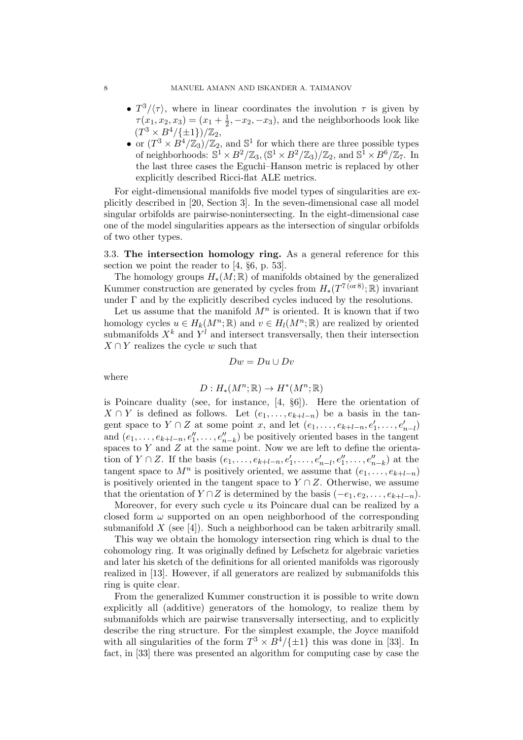- $T^3/\langle \tau \rangle$ , where in linear coordinates the involution  $\tau$  is given by  $\tau(x_1, x_2, x_3) = (x_1 + \frac{1}{2})$  $\frac{1}{2}$ ,  $-x_2$ ,  $-x_3$ ), and the neighborhoods look like  $(T^3 \times B^4 / \{\pm 1\})/\mathbb{Z}_2$ ,
- or  $(T^3 \times B^4/\mathbb{Z}_3)/\mathbb{Z}_2$ , and  $\mathbb{S}^1$  for which there are three possible types of neighborhoods:  $\mathbb{S}^1 \times B^2/\mathbb{Z}_3$ ,  $(\mathbb{S}^1 \times B^2/\mathbb{Z}_3)/\mathbb{Z}_2$ , and  $\mathbb{S}^1 \times B^6/\mathbb{Z}_7$ . In the last three cases the Eguchi–Hanson metric is replaced by other explicitly described Ricci-flat ALE metrics.

For eight-dimensional manifolds five model types of singularities are explicitly described in [\[20,](#page-15-18) Section 3]. In the seven-dimensional case all model singular orbifolds are pairwise-nonintersecting. In the eight-dimensional case one of the model singularities appears as the intersection of singular orbifolds of two other types.

3.3. The intersection homology ring. As a general reference for this section we point the reader to [\[4,](#page-14-5) §6, p. 53].

The homology groups  $H_*(M;\mathbb{R})$  of manifolds obtained by the generalized Kummer construction are generated by cycles from  $H_*(T^{7\text{ (or }8)}; \mathbb{R})$  invariant under  $\Gamma$  and by the explicitly described cycles induced by the resolutions.

Let us assume that the manifold  $M^n$  is oriented. It is known that if two homology cycles  $u \in H_k(M^n; \mathbb{R})$  and  $v \in H_l(M^n; \mathbb{R})$  are realized by oriented submanifolds  $X^k$  and  $Y^l$  and intersect transversally, then their intersection  $X \cap Y$  realizes the cycle w such that

$$
Dw = Du \cup Dv
$$

where

$$
D: H_*(M^n; \mathbb{R}) \to H^*(M^n; \mathbb{R})
$$

is Poincare duality (see, for instance, [\[4,](#page-14-5) §6]). Here the orientation of  $X \cap Y$  is defined as follows. Let  $(e_1, \ldots, e_{k+l-n})$  be a basis in the tangent space to  $Y \cap Z$  at some point x, and let  $(e_1, \ldots, e_{k+l-n}, e'_1, \ldots, e'_{n-l})$ and  $(e_1, \ldots, e_{k+l-n}, e''_1, \ldots, e''_{n-k})$  be positively oriented bases in the tangent spaces to  $Y$  and  $Z$  at the same point. Now we are left to define the orientation of  $Y \cap Z$ . If the basis  $(e_1, \ldots, e_{k+l-n}, e'_1, \ldots, e'_{n-l}, e''_1, \ldots, e''_{n-k})$  at the tangent space to  $M^n$  is positively oriented, we assume that  $(e_1, \ldots, e_{k+l-n})$ is positively oriented in the tangent space to  $Y \cap Z$ . Otherwise, we assume that the orientation of  $Y \cap Z$  is determined by the basis  $(-e_1, e_2, \ldots, e_{k+l-n})$ .

Moreover, for every such cycle u its Poincare dual can be realized by a closed form  $\omega$  supported on an open neighborhood of the corresponding submanifold  $X$  (see [\[4\]](#page-14-5)). Such a neighborhood can be taken arbitrarily small.

This way we obtain the homology intersection ring which is dual to the cohomology ring. It was originally defined by Lefschetz for algebraic varieties and later his sketch of the definitions for all oriented manifolds was rigorously realized in [\[13\]](#page-15-23). However, if all generators are realized by submanifolds this ring is quite clear.

From the generalized Kummer construction it is possible to write down explicitly all (additive) generators of the homology, to realize them by submanifolds which are pairwise transversally intersecting, and to explicitly describe the ring structure. For the simplest example, the Joyce manifold with all singularities of the form  $T^3 \times B^4/\{\pm 1\}$  this was done in [\[33\]](#page-15-0). In fact, in [\[33\]](#page-15-0) there was presented an algorithm for computing case by case the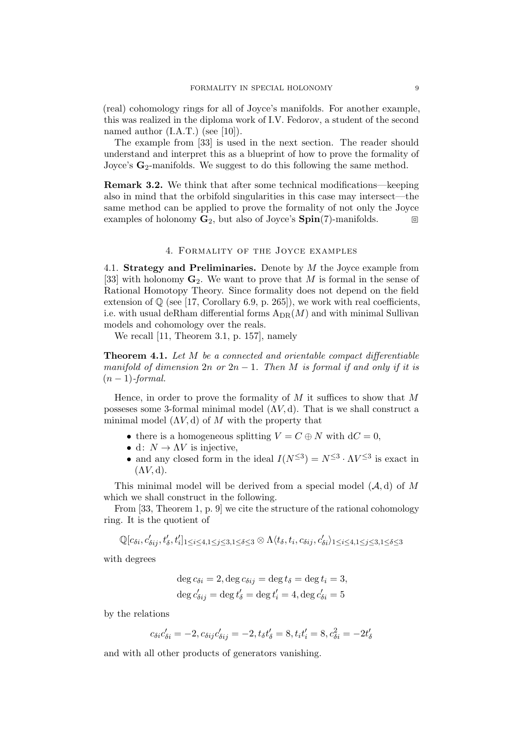(real) cohomology rings for all of Joyce's manifolds. For another example, this was realized in the diploma work of I.V. Fedorov, a student of the second named author (I.A.T.) (see [\[10\]](#page-15-24)).

The example from [\[33\]](#page-15-0) is used in the next section. The reader should understand and interpret this as a blueprint of how to prove the formality of Joyce's  $\mathbf{G}_2$ -manifolds. We suggest to do this following the same method.

<span id="page-8-1"></span>Remark 3.2. We think that after some technical modifications—keeping also in mind that the orbifold singularities in this case may intersect—the same method can be applied to prove the formality of not only the Joyce examples of holonomy  $\mathbf{G}_2$ , but also of Joyce's  $\text{Spin}(7)$ -manifolds.

### 4. Formality of the Joyce examples

<span id="page-8-0"></span>4.1. Strategy and Preliminaries. Denote by M the Joyce example from [\[33\]](#page-15-0) with holonomy  $\mathbf{G}_2$ . We want to prove that M is formal in the sense of Rational Homotopy Theory. Since formality does not depend on the field extension of  $\mathbb Q$  (see [\[17,](#page-15-3) Corollary 6.9, p. 265]), we work with real coefficients, i.e. with usual deRham differential forms  $A_{DR}(M)$  and with minimal Sullivan models and cohomology over the reals.

We recall [\[11,](#page-15-25) Theorem 3.1, p. 157], namely

<span id="page-8-2"></span>Theorem 4.1. Let M be a connected and orientable compact differentiable manifold of dimension  $2n$  or  $2n-1$ . Then M is formal if and only if it is  $(n-1)$ -formal.

Hence, in order to prove the formality of  $M$  it suffices to show that  $M$ possesses some 3-formal minimal model  $(\Lambda V, d)$ . That is we shall construct a minimal model  $(\Lambda V, d)$  of M with the property that

- there is a homogeneous splitting  $V = C \oplus N$  with  $dC = 0$ ,
- d:  $N \to \Lambda V$  is injective,
- and any closed form in the ideal  $I(N^{\leq 3}) = N^{\leq 3} \cdot \Lambda V^{\leq 3}$  is exact in  $(\Lambda V, d)$ .

This minimal model will be derived from a special model  $(A, d)$  of M which we shall construct in the following.

From [\[33,](#page-15-0) Theorem 1, p. 9] we cite the structure of the rational cohomology ring. It is the quotient of

 $\mathbb{Q}[c_{\delta i},c'_{\delta ij},t'_{\delta},t'_{i}]_{1\leq i\leq 4,1\leq j\leq 3,1\leq \delta\leq 3}\otimes\Lambda\langle t_{\delta},t_{i},c_{\delta ij},c'_{\delta i}\rangle_{1\leq i\leq 4,1\leq j\leq 3,1\leq \delta\leq 3}$ 

with degrees

$$
\deg c_{\delta i} = 2, \deg c_{\delta i j} = \deg t_{\delta} = \deg t_i = 3,
$$
  

$$
\deg c'_{\delta i j} = \deg t'_{\delta} = \deg t'_{i} = 4, \deg c'_{\delta i} = 5
$$

by the relations

$$
c_{\delta i}c'_{\delta i} = -2, c_{\delta ij}c'_{\delta ij} = -2, t_{\delta}t'_{\delta} = 8, t_{i}t'_{i} = 8, c_{\delta i}^{2} = -2t'_{\delta}
$$

and with all other products of generators vanishing.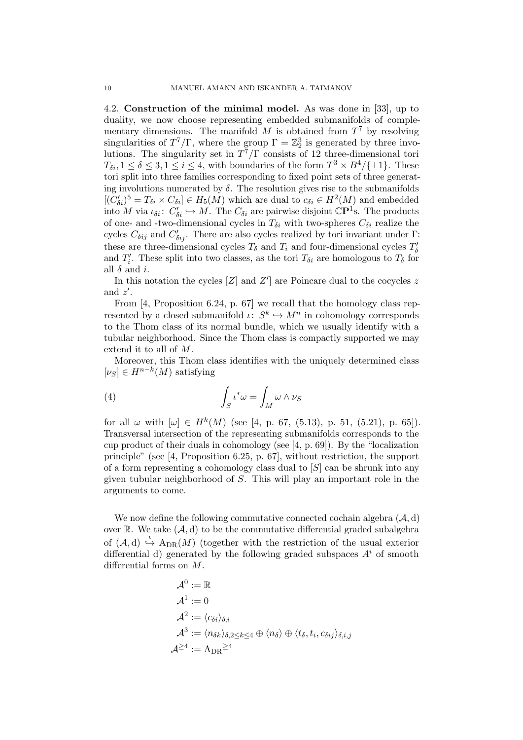4.2. Construction of the minimal model. As was done in [\[33\]](#page-15-0), up to duality, we now choose representing embedded submanifolds of complementary dimensions. The manifold M is obtained from  $T<sup>7</sup>$  by resolving singularities of  $T^7/\Gamma$ , where the group  $\Gamma = \mathbb{Z}_2^3$  is generated by three involutions. The singularity set in  $T^7/\Gamma$  consists of 12 three-dimensional tori  $T_{\delta i}$ ,  $1 \leq \delta \leq 3, 1 \leq i \leq 4$ , with boundaries of the form  $T^3 \times B^4/\{\pm 1\}$ . These tori split into three families corresponding to fixed point sets of three generating involutions numerated by  $\delta$ . The resolution gives rise to the submanifolds  $[(C'_{\delta i})^5 = T_{\delta i} \times C_{\delta i}] \in H_5(M)$  which are dual to  $c_{\delta i} \in H^2(M)$  and embedded into M via  $\iota_{\delta i}$ :  $C'_{\delta i} \hookrightarrow M$ . The  $C_{\delta i}$  are pairwise disjoint  $\mathbb{C}P^1$ s. The products of one- and -two-dimensional cycles in  $T_{\delta i}$  with two-spheres  $C_{\delta i}$  realize the cycles  $C_{\delta ij}$  and  $C'_{\delta ij}$ . There are also cycles realized by tori invariant under Γ: these are three-dimensional cycles  $T_{\delta}$  and  $T_i$  and four-dimensional cycles  $T'_{\delta}$ and  $T_i'$ . These split into two classes, as the tori  $T_{\delta i}$  are homologous to  $T_{\delta}$  for all  $\delta$  and *i*.

In this notation the cycles  $[Z]$  and  $Z'$  are Poincare dual to the cocycles z and  $z'$ .

From [\[4,](#page-14-5) Proposition 6.24, p. 67] we recall that the homology class represented by a closed submanifold  $\iota: S^k \hookrightarrow M^n$  in cohomology corresponds to the Thom class of its normal bundle, which we usually identify with a tubular neighborhood. Since the Thom class is compactly supported we may extend it to all of M.

Moreover, this Thom class identifies with the uniquely determined class  $[\nu_S] \in H^{n-k}(M)$  satisfying

<span id="page-9-0"></span>(4) 
$$
\int_{S} \iota^* \omega = \int_{M} \omega \wedge \nu_{S}
$$

for all  $\omega$  with  $[\omega] \in H^k(M)$  (see [\[4,](#page-14-5) p. 67, (5.13), p. 51, (5.21), p. 65]). Transversal intersection of the representing submanifolds corresponds to the cup product of their duals in cohomology (see [\[4,](#page-14-5) p. 69]). By the "localization principle" (see [\[4,](#page-14-5) Proposition 6.25, p. 67], without restriction, the support of a form representing a cohomology class dual to  $[S]$  can be shrunk into any given tubular neighborhood of S. This will play an important role in the arguments to come.

We now define the following commutative connected cochain algebra  $(A, d)$ over  $\mathbb R$ . We take  $(\mathcal A, d)$  to be the commutative differential graded subalgebra of  $(\mathcal{A}, d) \stackrel{\iota}{\hookrightarrow} A_{DR}(M)$  (together with the restriction of the usual exterior differential d) generated by the following graded subspaces  $A<sup>i</sup>$  of smooth differential forms on M.

$$
\begin{aligned} \mathcal{A}^0 &:= \mathbb{R} \\ \mathcal{A}^1 &:= 0 \\ \mathcal{A}^2 &:= \langle c_{\delta i} \rangle_{\delta,i} \\ \mathcal{A}^3 &:= \langle n_{\delta k} \rangle_{\delta,2 \leq k \leq 4} \oplus \langle n_{\delta} \rangle \oplus \langle t_{\delta}, t_i, c_{\delta ij} \rangle_{\delta,i,j} \\ \mathcal{A}^{\geq 4} &:= \mathrm{A}_{\mathrm{DR}}^{\geq 4} \end{aligned}
$$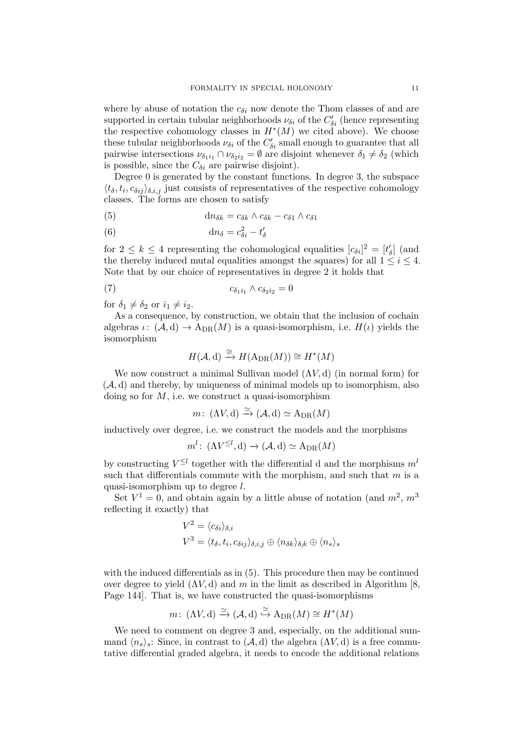where by abuse of notation the  $c_{\delta i}$  now denote the Thom classes of and are supported in certain tubular neighborhoods  $\nu_{\delta i}$  of the  $C'_{\delta i}$  (hence representing the respective cohomology classes in  $H^*(M)$  we cited above). We choose these tubular neighborhoods  $\nu_{\delta i}$  of the  $C'_{\delta i}$  small enough to guarantee that all pairwise intersections  $\nu_{\delta_1 i_1} \cap \nu_{\delta_2 i_2} = \emptyset$  are disjoint whenever  $\delta_1 \neq \delta_2$  (which is possible, since the  $C_{\delta i}$  are pairwise disjoint).

Degree 0 is generated by the constant functions. In degree 3, the subspace  $\langle t_\delta, t_i, c_{\delta ij} \rangle_{\delta,i,j}$  just consists of representatives of the respective cohomology classes. The forms are chosen to satisfy

<span id="page-10-0"></span>(5) 
$$
\mathrm{d}n_{\delta k} = c_{\delta k} \wedge c_{\delta k} - c_{\delta 1} \wedge c_{\delta 1}
$$

<span id="page-10-2"></span>(6) 
$$
\mathrm{d}n_{\delta} = c_{\delta i}^2 - t'_{\delta}
$$

for  $2 \leq k \leq 4$  representing the cohomological equalities  $[c_{\delta i}]^2 = [t'_{\delta}]$  (and the thereby induced mutal equalities amongst the squares) for all  $1 \leq i \leq 4$ . Note that by our choice of representatives in degree 2 it holds that

<span id="page-10-1"></span>
$$
(7) \t\t\t c_{\delta_1 i_1} \wedge c_{\delta_2 i_2} = 0
$$

for  $\delta_1 \neq \delta_2$  or  $i_1 \neq i_2$ .

As a consequence, by construction, we obtain that the inclusion of cochain algebras  $\iota: (\mathcal{A}, d) \to A_{DR}(M)$  is a quasi-isomorphism, i.e.  $H(\iota)$  yields the isomorphism

$$
H(\mathcal{A}, \mathrm{d}) \xrightarrow{\cong} H(\mathrm{A}_{\mathrm{DR}}(M)) \cong H^*(M)
$$

We now construct a minimal Sullivan model  $(\Lambda V, d)$  (in normal form) for  $(\mathcal{A}, d)$  and thereby, by uniqueness of minimal models up to isomorphism, also doing so for  $M$ , i.e. we construct a quasi-isomorphism

$$
m\colon \left(\Lambda V, \mathrm{d}\right) \xrightarrow{\simeq} \left(\mathcal{A}, \mathrm{d}\right) \simeq \mathrm{A}_{\mathrm{DR}}(M)
$$

inductively over degree, i.e. we construct the models and the morphisms

$$
m^l
$$
:  $(\Lambda V^{\leq l}, d) \to (\mathcal{A}, d) \simeq A_{DR}(M)$ 

by constructing  $V^{\leq l}$  together with the differential d and the morphisms  $m^l$ such that differentials commute with the morphism, and such that  $m$  is a quasi-isomorphism up to degree l.

Set  $V^1 = 0$ , and obtain again by a little abuse of notation (and  $m^2$ ,  $m^3$ ) reflecting it exactly) that

$$
V^{2} = \langle c_{\delta i} \rangle_{\delta, i}
$$
  

$$
V^{3} = \langle t_{\delta}, t_{i}, c_{\delta i j} \rangle_{\delta, i, j} \oplus \langle n_{\delta k} \rangle_{\delta, k} \oplus \langle n_{s} \rangle_{s}
$$

with the induced differentials as in [\(5\)](#page-10-0). This procedure then may be continued over degree to yield  $(\Lambda V, d)$  and m in the limit as described in Algorithm [\[8,](#page-15-1) Page 144]. That is, we have constructed the quasi-isomorphisms

$$
m\colon \left(\Lambda V, \mathrm{d}\right) \xrightarrow{\simeq} \left(\mathcal{A}, \mathrm{d}\right) \xrightarrow{\simeq} \mathrm{A}_{\mathrm{DR}}(M) \cong H^*(M)
$$

We need to comment on degree 3 and, especially, on the additional summand  $\langle n_s \rangle_s$ : Since, in contrast to  $(\mathcal{A}, d)$  the algebra  $(\Lambda V, d)$  is a free commutative differential graded algebra, it needs to encode the additional relations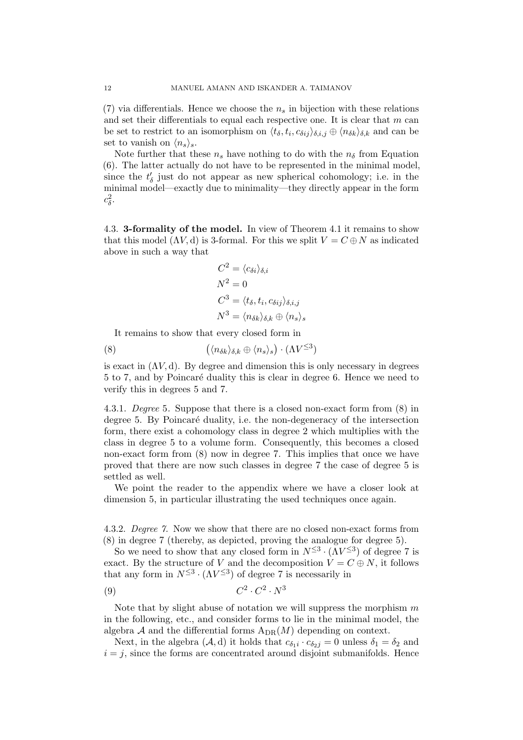[\(7\)](#page-10-1) via differentials. Hence we choose the  $n<sub>s</sub>$  in bijection with these relations and set their differentials to equal each respective one. It is clear that  $m$  can be set to restrict to an isomorphism on  $\langle t_\delta, t_i, c_{\delta ij} \rangle_{\delta,i,j} \oplus \langle n_{\delta k} \rangle_{\delta,k}$  and can be set to vanish on  $\langle n_s \rangle_s$ .

Note further that these  $n_s$  have nothing to do with the  $n_{\delta}$  from Equation [\(6\)](#page-10-2). The latter actually do not have to be represented in the minimal model, since the  $t'_{\delta}$  just do not appear as new spherical cohomology; i.e. in the minimal model—exactly due to minimality—they directly appear in the form  $c_{\delta}^2$ .

4.3. 3-formality of the model. In view of Theorem [4.1](#page-8-2) it remains to show that this model  $(\Lambda V, d)$  is 3-formal. For this we split  $V = C \oplus N$  as indicated above in such a way that

$$
C^{2} = \langle c_{\delta i} \rangle_{\delta, i}
$$
  
\n
$$
N^{2} = 0
$$
  
\n
$$
C^{3} = \langle t_{\delta}, t_{i}, c_{\delta i j} \rangle_{\delta, i, j}
$$
  
\n
$$
N^{3} = \langle n_{\delta k} \rangle_{\delta, k} \oplus \langle n_{s} \rangle_{s}
$$

It remains to show that every closed form in

<span id="page-11-0"></span>(8) 
$$
(\langle n_{\delta k} \rangle_{\delta,k} \oplus \langle n_s \rangle_s) \cdot (\Lambda V^{\leq 3})
$$

is exact in  $(\Lambda V, d)$ . By degree and dimension this is only necessary in degrees 5 to 7, and by Poincaré duality this is clear in degree 6. Hence we need to verify this in degrees 5 and 7.

4.3.1. Degree 5. Suppose that there is a closed non-exact form from [\(8\)](#page-11-0) in degree 5. By Poincaré duality, i.e. the non-degeneracy of the intersection form, there exist a cohomology class in degree 2 which multiplies with the class in degree 5 to a volume form. Consequently, this becomes a closed non-exact form from [\(8\)](#page-11-0) now in degree 7. This implies that once we have proved that there are now such classes in degree 7 the case of degree 5 is settled as well.

We point the reader to the appendix where we have a closer look at dimension 5, in particular illustrating the used techniques once again.

<span id="page-11-1"></span>4.3.2. Degree 7. Now we show that there are no closed non-exact forms from [\(8\)](#page-11-0) in degree 7 (thereby, as depicted, proving the analogue for degree 5).

So we need to show that any closed form in  $N^{\leq 3} \cdot (\Lambda V^{\leq 3})$  of degree 7 is exact. By the structure of V and the decomposition  $V = C \oplus N$ , it follows that any form in  $N^{\leq 3} \cdot (\Lambda V^{\leq 3})$  of degree 7 is necessarily in

$$
(9) \t C^2 \cdot C^2 \cdot N^3
$$

Note that by slight abuse of notation we will suppress the morphism  $m$ in the following, etc., and consider forms to lie in the minimal model, the algebra A and the differential forms  $A_{DR}(M)$  depending on context.

Next, in the algebra  $(A, d)$  it holds that  $c_{\delta_1} \cdot c_{\delta_2} = 0$  unless  $\delta_1 = \delta_2$  and  $i = j$ , since the forms are concentrated around disjoint submanifolds. Hence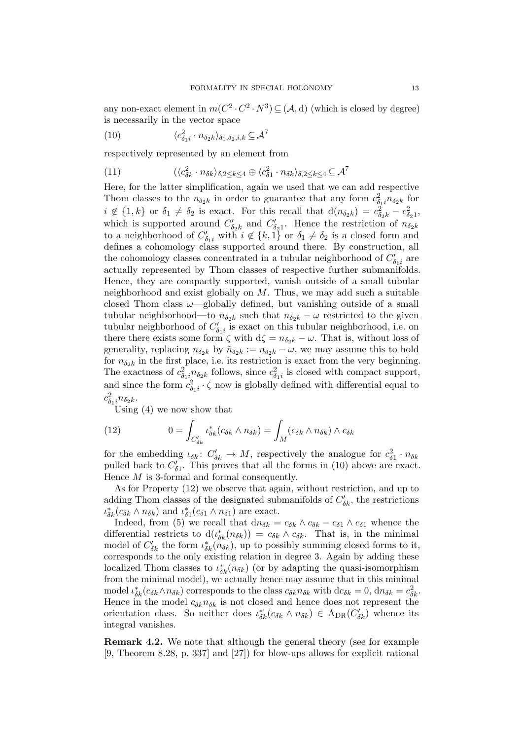any non-exact element in  $m(C^2 \cdot C^2 \cdot N^3) \subseteq (A, d)$  (which is closed by degree) is necessarily in the vector space

<span id="page-12-0"></span>(10) 
$$
\langle c_{\delta_1 i}^2 \cdot n_{\delta_2 k} \rangle_{\delta_1, \delta_2, i, k} \subseteq \mathcal{A}^7
$$

respectively represented by an element from

(11) 
$$
(\langle c_{\delta k}^2 \cdot n_{\delta k} \rangle_{\delta,2 \le k \le 4} \oplus \langle c_{\delta 1}^2 \cdot n_{\delta k} \rangle_{\delta,2 \le k \le 4} \subseteq \mathcal{A}^7
$$

Here, for the latter simplification, again we used that we can add respective Thom classes to the  $n_{\delta_2 k}$  in order to guarantee that any form  $c_{\delta_1 i}^2 n_{\delta_2 k}$  for  $i \notin \{1, k\}$  or  $\delta_1 \neq \delta_2$  is exact. For this recall that  $d(n_{\delta_2 k}) = c_{\delta_2 k}^2 - c_{\delta_2 1}^2$ , which is supported around  $C'_{\delta_2 k}$  and  $C'_{\delta_2 1}$ . Hence the restriction of  $n_{\delta_2 k}$ to a neighborhood of  $C'_{\delta_1 i}$  with  $i \notin \{k, 1\}$  or  $\delta_1 \neq \delta_2$  is a closed form and defines a cohomology class supported around there. By construction, all the cohomology classes concentrated in a tubular neighborhood of  $C'_{\delta_1 i}$  are actually represented by Thom classes of respective further submanifolds. Hence, they are compactly supported, vanish outside of a small tubular neighborhood and exist globally on  $M$ . Thus, we may add such a suitable closed Thom class  $\omega$ —globally defined, but vanishing outside of a small tubular neighborhood—to  $n_{\delta_2 k}$  such that  $n_{\delta_2 k} - \omega$  restricted to the given tubular neighborhood of  $C'_{\delta_1 i}$  is exact on this tubular neighborhood, i.e. on there there exists some form  $\zeta$  with  $d\zeta = n_{\delta_2 k} - \omega$ . That is, without loss of generality, replacing  $n_{\delta_2 k}$  by  $\tilde{n}_{\delta_2 k} := n_{\delta_2 k} - \omega$ , we may assume this to hold for  $n_{\delta 2k}$  in the first place, i.e. its restriction is exact from the very beginning. The exactness of  $c_{\delta_1}^2 n_{\delta_2 k}$  follows, since  $c_{\delta_1 i}^2$  is closed with compact support, and since the form  $c_{\delta_1 i}^2 \cdot \zeta$  now is globally defined with differential equal to  $c_{\delta_1i}^2 n_{\delta_2k}$ .

Using [\(4\)](#page-9-0) we now show that

<span id="page-12-1"></span>(12) 
$$
0 = \int_{C'_{\delta k}} \iota_{\delta k}^*(c_{\delta k} \wedge n_{\delta k}) = \int_M (c_{\delta k} \wedge n_{\delta k}) \wedge c_{\delta k}
$$

for the embedding  $\iota_{\delta k} \colon C'_{\delta k} \to M$ , respectively the analogue for  $c_{\delta 1}^2 \cdot n_{\delta k}$ pulled back to  $C'_{\delta 1}$ . This proves that all the forms in [\(10\)](#page-12-0) above are exact. Hence M is 3-formal and formal consequently.

As for Property [\(12\)](#page-12-1) we observe that again, without restriction, and up to adding Thom classes of the designated submanifolds of  $C'_{\delta k}$ , the restrictions  $\iota_{\delta k}^*(c_{\delta k} \wedge n_{\delta k})$  and  $\iota_{\delta 1}^*(c_{\delta 1} \wedge n_{\delta 1})$  are exact.

Indeed, from [\(5\)](#page-10-0) we recall that  $dn_{\delta k} = c_{\delta k} \wedge c_{\delta k} - c_{\delta 1} \wedge c_{\delta 1}$  whence the differential restricts to  $d(\iota_{\delta k}^*(n_{\delta k})) = c_{\delta k} \wedge c_{\delta k}$ . That is, in the minimal model of  $C'_{\delta k}$  the form  $\iota_{\delta k}^*(n_{\delta k})$ , up to possibly summing closed forms to it, corresponds to the only existing relation in degree 3. Again by adding these localized Thom classes to  $\iota_{\delta k}^*(n_{\delta k})$  (or by adapting the quasi-isomorphism from the minimal model), we actually hence may assume that in this minimal model  $\iota_{\delta k}^*(c_{\delta k} \wedge n_{\delta k})$  corresponds to the class  $c_{\delta k} n_{\delta k}$  with  $dc_{\delta k} = 0$ ,  $dn_{\delta k} = c_{\delta k}^2$ . Hence in the model  $c_{\delta k}n_{\delta k}$  is not closed and hence does not represent the orientation class. So neither does  $\iota_{\delta k}^*(c_{\delta k} \wedge n_{\delta k}) \in A_{DR}(C'_{\delta k})$  whence its integral vanishes.

Remark 4.2. We note that although the general theory (see for example [\[9,](#page-15-2) Theorem 8.28, p. 337] and [\[27\]](#page-15-26)) for blow-ups allows for explicit rational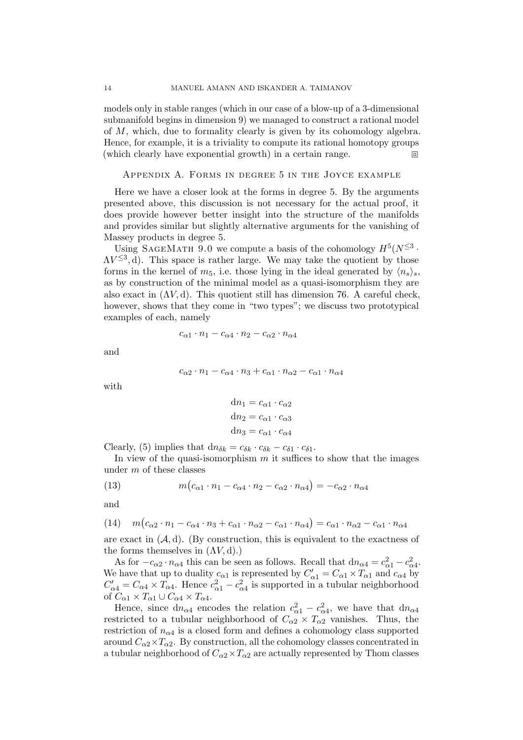models only in stable ranges (which in our case of a blow-up of a 3-dimensional submanifold begins in dimension 9) we managed to construct a rational model of M, which, due to formality clearly is given by its cohomology algebra. Hence, for example, it is a triviality to compute its rational homotopy groups (which clearly have exponential growth) in a certain range.

## Appendix A. Forms in degree 5 in the Joyce example

Here we have a closer look at the forms in degree 5. By the arguments presented above, this discussion is not necessary for the actual proof, it does provide however better insight into the structure of the manifolds and provides similar but slightly alternative arguments for the vanishing of Massey products in degree 5.

Using SAGEMATH 9.0 we compute a basis of the cohomology  $H^5(N^{\leq 3} \cdot$  $\Lambda V^{\leq 3}$ , d). This space is rather large. We may take the quotient by those forms in the kernel of  $m_5$ , i.e. those lying in the ideal generated by  $\langle n_s \rangle_s$ , as by construction of the minimal model as a quasi-isomorphism they are also exact in  $(\Lambda V, d)$ . This quotient still has dimension 76. A careful check, however, shows that they come in "two types"; we discuss two prototypical examples of each, namely

$$
c_{\alpha 1} \cdot n_1 - c_{\alpha 4} \cdot n_2 - c_{\alpha 2} \cdot n_{\alpha 4}
$$

and

$$
c_{\alpha 2} \cdot n_1 - c_{\alpha 4} \cdot n_3 + c_{\alpha 1} \cdot n_{\alpha 2} - c_{\alpha 1} \cdot n_{\alpha 4}
$$

with

$$
dn_1 = c_{\alpha 1} \cdot c_{\alpha 2}
$$

$$
dn_2 = c_{\alpha 1} \cdot c_{\alpha 3}
$$

$$
dn_3 = c_{\alpha 1} \cdot c_{\alpha 4}
$$

Clearly, [\(5\)](#page-10-0) implies that  $dn_{\delta k} = c_{\delta k} \cdot c_{\delta k} - c_{\delta 1} \cdot c_{\delta 1}$ .

In view of the quasi-isomorphism  $m$  it suffices to show that the images under m of these classes

(13) 
$$
m(c_{\alpha 1} \cdot n_1 - c_{\alpha 4} \cdot n_2 - c_{\alpha 2} \cdot n_{\alpha 4}) = -c_{\alpha 2} \cdot n_{\alpha 4}
$$

and

<span id="page-13-0"></span>(14) 
$$
m(c_{\alpha 2} \cdot n_1 - c_{\alpha 4} \cdot n_3 + c_{\alpha 1} \cdot n_{\alpha 2} - c_{\alpha 1} \cdot n_{\alpha 4}) = c_{\alpha 1} \cdot n_{\alpha 2} - c_{\alpha 1} \cdot n_{\alpha 4}
$$

are exact in  $(A, d)$ . (By construction, this is equivalent to the exactness of the forms themselves in  $(\Lambda V, d)$ .)

As for  $-c_{\alpha 2} \cdot n_{\alpha 4}$  this can be seen as follows. Recall that  $dn_{\alpha 4} = c_{\alpha 1}^2 - c_{\alpha 4}^2$ . We have that up to duality  $c_{\alpha 1}$  is represented by  $C'_{\alpha 1} = C_{\alpha 1} \times T_{\alpha 1}$  and  $c_{\alpha 4}$  by  $C'_{\alpha 4} = C_{\alpha 4} \times T_{\alpha 4}$ . Hence  $c_{\alpha 1}^2 - c_{\alpha 4}^2$  is supported in a tubular neighborhood of  $C_{\alpha 1} \times T_{\alpha 1} \cup C_{\alpha 4} \times T_{\alpha 4}$ .

Hence, since  $dn_{\alpha 4}$  encodes the relation  $c_{\alpha 1}^2 - c_{\alpha 4}^2$ , we have that  $dn_{\alpha 4}$ restricted to a tubular neighborhood of  $C_{\alpha 2} \times T_{\alpha 2}$  vanishes. Thus, the restriction of  $n_{\alpha 4}$  is a closed form and defines a cohomology class supported around  $C_{\alpha 2} \times T_{\alpha 2}$ . By construction, all the cohomology classes concentrated in a tubular neighborhood of  $C_{\alpha 2} \times T_{\alpha 2}$  are actually represented by Thom classes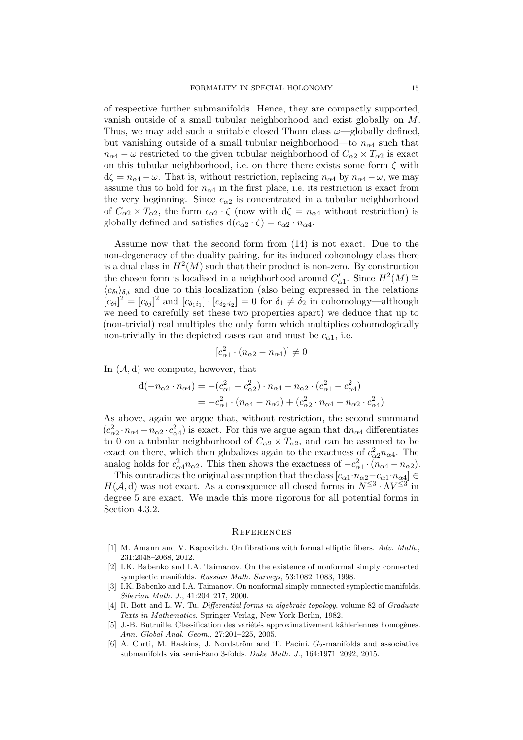of respective further submanifolds. Hence, they are compactly supported, vanish outside of a small tubular neighborhood and exist globally on M. Thus, we may add such a suitable closed Thom class  $\omega$  -globally defined, but vanishing outside of a small tubular neighborhood—to  $n_{\alpha 4}$  such that  $n_{\alpha4} - \omega$  restricted to the given tubular neighborhood of  $C_{\alpha2} \times T_{\alpha2}$  is exact on this tubular neighborhood, i.e. on there there exists some form  $\zeta$  with  $d\zeta = n_{\alpha 4} - \omega$ . That is, without restriction, replacing  $n_{\alpha 4}$  by  $n_{\alpha 4} - \omega$ , we may assume this to hold for  $n_{\alpha4}$  in the first place, i.e. its restriction is exact from the very beginning. Since  $c_{\alpha 2}$  is concentrated in a tubular neighborhood of  $C_{\alpha 2} \times T_{\alpha 2}$ , the form  $c_{\alpha 2} \cdot \zeta$  (now with  $d\zeta = n_{\alpha 4}$  without restriction) is globally defined and satisfies  $d(c_{\alpha 2} \cdot \zeta) = c_{\alpha 2} \cdot n_{\alpha 4}$ .

Assume now that the second form from [\(14\)](#page-13-0) is not exact. Due to the non-degeneracy of the duality pairing, for its induced cohomology class there is a dual class in  $H^2(M)$  such that their product is non-zero. By construction the chosen form is localised in a neighborhood around  $C'_{\alpha 1}$ . Since  $H^2(M) \cong$  $\langle c_{\delta i} \rangle_{\delta,i}$  and due to this localization (also being expressed in the relations  $[c_{\delta i}]^2 = [c_{\delta j}]^2$  and  $[c_{\delta_1 i_1}] \cdot [c_{\delta_2 i_2}] = 0$  for  $\delta_1 \neq \delta_2$  in cohomology—although we need to carefully set these two properties apart) we deduce that up to (non-trivial) real multiples the only form which multiplies cohomologically non-trivially in the depicted cases can and must be  $c_{\alpha 1}$ , i.e.

$$
[c_{\alpha 1}^2 \cdot (n_{\alpha 2} - n_{\alpha 4})] \neq 0
$$

In  $(\mathcal{A}, d)$  we compute, however, that

$$
d(-n_{\alpha 2} \cdot n_{\alpha 4}) = -(c_{\alpha 1}^2 - c_{\alpha 2}^2) \cdot n_{\alpha 4} + n_{\alpha 2} \cdot (c_{\alpha 1}^2 - c_{\alpha 4}^2)
$$
  
=  $-c_{\alpha 1}^2 \cdot (n_{\alpha 4} - n_{\alpha 2}) + (c_{\alpha 2}^2 \cdot n_{\alpha 4} - n_{\alpha 2} \cdot c_{\alpha 4}^2)$ 

As above, again we argue that, without restriction, the second summand  $(c_{\alpha 2}^2 \cdot n_{\alpha 4} - n_{\alpha 2} \cdot c_{\alpha 4}^2)$  is exact. For this we argue again that  $dn_{\alpha 4}$  differentiates to 0 on a tubular neighborhood of  $C_{\alpha 2} \times T_{\alpha 2}$ , and can be assumed to be exact on there, which then globalizes again to the exactness of  $c_{\alpha 2}^2 n_{\alpha 4}$ . The analog holds for  $c_{\alpha 4}^2 n_{\alpha 2}$ . This then shows the exactness of  $-c_{\alpha 1}^2 \cdot (n_{\alpha 4} - n_{\alpha 2})$ .

This contradicts the original assumption that the class  $[c_{\alpha 1} \cdot n_{\alpha 2} - c_{\alpha 1} \cdot n_{\alpha 4}] \in$  $H(\mathcal{A}, d)$  was not exact. As a consequence all closed forms in  $N^{\leq 3} \cdot \Lambda V^{\leq 3}$  in degree 5 are exact. We made this more rigorous for all potential forms in Section [4.3.2.](#page-11-1)

#### **REFERENCES**

- <span id="page-14-3"></span>[1] M. Amann and V. Kapovitch. On fibrations with formal elliptic fibers. Adv. Math., 231:2048–2068, 2012.
- <span id="page-14-0"></span>[2] I.K. Babenko and I.A. Taimanov. On the existence of nonformal simply connected symplectic manifolds. Russian Math. Surveys, 53:1082–1083, 1998.
- <span id="page-14-1"></span>[3] I.K. Babenko and I.A. Taimanov. On nonformal simply connected symplectic manifolds. Siberian Math. J., 41:204–217, 2000.
- <span id="page-14-5"></span>[4] R. Bott and L. W. Tu. Differential forms in algebraic topology, volume 82 of Graduate Texts in Mathematics. Springer-Verlag, New York-Berlin, 1982.
- <span id="page-14-2"></span>[5] J.-B. Butruille. Classification des variétés approximativement kähleriennes homogènes. Ann. Global Anal. Geom., 27:201–225, 2005.
- <span id="page-14-4"></span>[6] A. Corti, M. Haskins, J. Nordström and T. Pacini.  $G_2$ -manifolds and associative submanifolds via semi-Fano 3-folds. Duke Math. J., 164:1971–2092, 2015.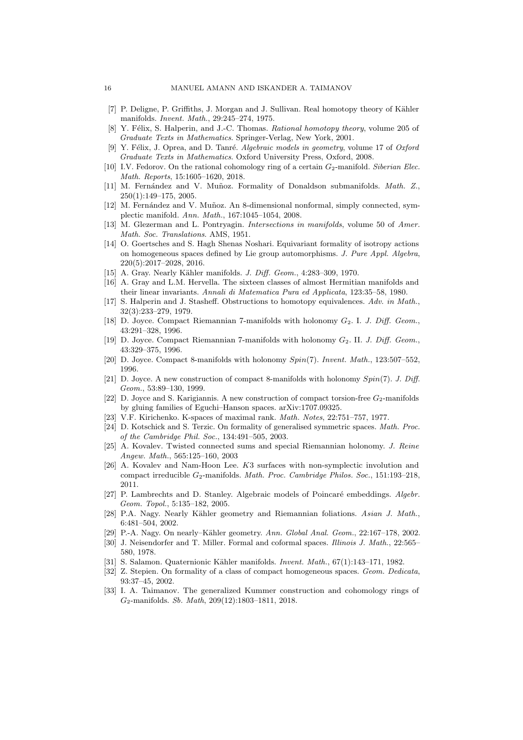- <span id="page-15-7"></span>[7] P. Deligne, P. Griffiths, J. Morgan and J. Sullivan. Real homotopy theory of Kähler manifolds. Invent. Math., 29:245–274, 1975.
- <span id="page-15-1"></span>[8] Y. Félix, S. Halperin, and J.-C. Thomas. Rational homotopy theory, volume 205 of Graduate Texts in Mathematics. Springer-Verlag, New York, 2001.
- <span id="page-15-2"></span>[9] Y. Félix, J. Oprea, and D. Tanré. Algebraic models in geometry, volume 17 of Oxford Graduate Texts in Mathematics. Oxford University Press, Oxford, 2008.
- <span id="page-15-24"></span>[10] I.V. Fedorov. On the rational cohomology ring of a certain  $G_2$ -manifold. Siberian Elec. Math. Reports, 15:1605–1620, 2018.
- <span id="page-15-25"></span>[11] M. Fernández and V. Muñoz. Formality of Donaldson submanifolds. Math. Z., 250(1):149–175, 2005.
- <span id="page-15-9"></span>[12] M. Fernández and V. Muñoz. An 8-dimensional nonformal, simply connected, symplectic manifold. Ann. Math., 167:1045–1054, 2008.
- <span id="page-15-23"></span>[13] M. Glezerman and L. Pontryagin. Intersections in manifolds, volume 50 of Amer. Math. Soc. Translations. AMS, 1951.
- <span id="page-15-6"></span>[14] O. Goertsches and S. Hagh Shenas Noshari. Equivariant formality of isotropy actions on homogeneous spaces defined by Lie group automorphisms. J. Pure Appl. Algebra, 220(5):2017–2028, 2016.
- <span id="page-15-10"></span>[15] A. Gray. Nearly Kähler manifolds. *J. Diff. Geom.*, 4:283-309, 1970.
- <span id="page-15-8"></span>[16] A. Gray and L.M. Hervella. The sixteen classes of almost Hermitian manifolds and their linear invariants. Annali di Matematica Pura ed Applicata, 123:35–58, 1980.
- <span id="page-15-3"></span>[17] S. Halperin and J. Stasheff. Obstructions to homotopy equivalences. Adv. in Math., 32(3):233–279, 1979.
- <span id="page-15-16"></span>[18] D. Joyce. Compact Riemannian 7-manifolds with holonomy  $G_2$ . I. J. Diff. Geom., 43:291–328, 1996.
- <span id="page-15-17"></span>[19] D. Joyce. Compact Riemannian 7-manifolds with holonomy  $G_2$ . II. J. Diff. Geom., 43:329–375, 1996.
- <span id="page-15-18"></span>[20] D. Joyce. Compact 8-manifolds with holonomy Spin(7). Invent. Math., 123:507–552, 1996.
- <span id="page-15-19"></span>[21] D. Joyce. A new construction of compact 8-manifolds with holonomy Spin(7). J. Diff. Geom., 53:89–130, 1999.
- <span id="page-15-22"></span>[22] D. Joyce and S. Karigiannis. A new construction of compact torsion-free  $G_2$ -manifolds by gluing families of Eguchi–Hanson spaces. arXiv:1707.09325.
- <span id="page-15-11"></span>[23] V.F. Kirichenko. K-spaces of maximal rank. Math. Notes, 22:751–757, 1977.
- <span id="page-15-5"></span>[24] D. Kotschick and S. Terzic. On formality of generalised symmetric spaces. Math. Proc. of the Cambridge Phil. Soc., 134:491–505, 2003.
- <span id="page-15-20"></span>[25] A. Kovalev. Twisted connected sums and special Riemannian holonomy. J. Reine Angew. Math., 565:125–160, 2003
- <span id="page-15-21"></span>[26] A. Kovalev and Nam-Hoon Lee. K3 surfaces with non-symplectic involution and compact irreducible  $G_2$ -manifolds. Math. Proc. Cambridge Philos. Soc., 151:193-218, 2011.
- <span id="page-15-26"></span>[27] P. Lambrechts and D. Stanley. Algebraic models of Poincaré embeddings. Algebr. Geom. Topol., 5:135–182, 2005.
- <span id="page-15-13"></span>[28] P.A. Nagy. Nearly Kähler geometry and Riemannian foliations. Asian J. Math., 6:481–504, 2002.
- <span id="page-15-12"></span>[29] P.-A. Nagy. On nearly–Kähler geometry. Ann. Global Anal. Geom., 22:167-178, 2002.
- <span id="page-15-14"></span>[30] J. Neisendorfer and T. Miller. Formal and coformal spaces. Illinois J. Math., 22:565-580, 1978.
- <span id="page-15-15"></span>[31] S. Salamon. Quaternionic Kähler manifolds. Invent. Math., 67(1):143-171, 1982.
- <span id="page-15-4"></span>[32] Z. Stepien. On formality of a class of compact homogeneous spaces. Geom. Dedicata, 93:37–45, 2002.
- <span id="page-15-0"></span>[33] I. A. Taimanov. The generalized Kummer construction and cohomology rings of G2-manifolds. Sb. Math, 209(12):1803–1811, 2018.